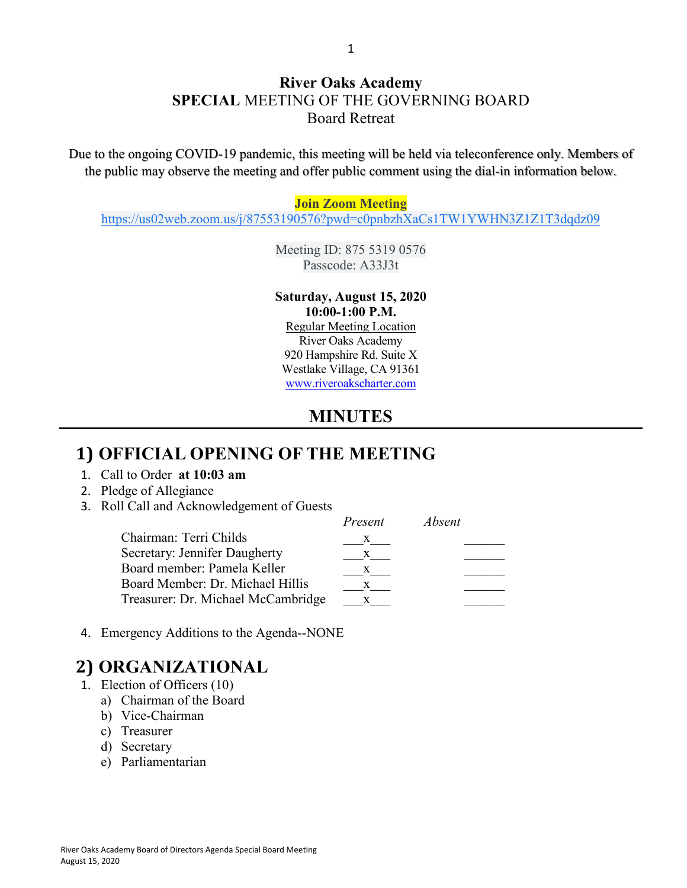### **River Oaks Academy SPECIAL** MEETING OF THE GOVERNING BOARD Board Retreat

Due to the ongoing COVID-19 pandemic, this meeting will be held via teleconference only. Members of the public may observe the meeting and offer public comment using the dial-in information below.

#### **Join Zoom Meeting**

[https://us02web.zoom.us/j/87553190576?pwd=c0pnbzhXaCs1TW1YWHN3Z1Z1T3dqdz09](https://www.google.com/url?q=https://us02web.zoom.us/j/87553190576?pwd%3Dc0pnbzhXaCs1TW1YWHN3Z1Z1T3dqdz09&sa=D&source=calendar&ust=1597271303129000&usg=AOvVaw2iJlgMfhph1wrN-h9l5MZg)

Meeting ID: 875 5319 0576 Passcode: A33J3t

#### **Saturday, August 15, 2020 10:00-1:00 P.M.**

Regular Meeting Location River Oaks Academy 920 Hampshire Rd. Suite X Westlake Village, CA 91361 [www.riveroakscharter.com](http://www.riveroakscharter.com/)

### **MINUTES**

#### **1) OFFICIAL OPENING OF THE MEETING**

- 1. Call to Order **at 10:03 am**
- 2. Pledge of Allegiance
- 3. Roll Call and Acknowledgement of Guests

|                                    | Present | Absent |
|------------------------------------|---------|--------|
| Chairman: Terri Childs             |         |        |
| Secretary: Jennifer Daugherty      | X       |        |
| Board member: Pamela Keller        | X       |        |
| Board Member: Dr. Michael Hillis   |         |        |
| Treasurer: Dr. Michael McCambridge |         |        |

4. Emergency Additions to the Agenda--NONE

## **2) ORGANIZATIONAL**

- 1. Election of Officers (10)
	- a) Chairman of the Board
	- b) Vice-Chairman
	- c) Treasurer
	- d) Secretary
	- e) Parliamentarian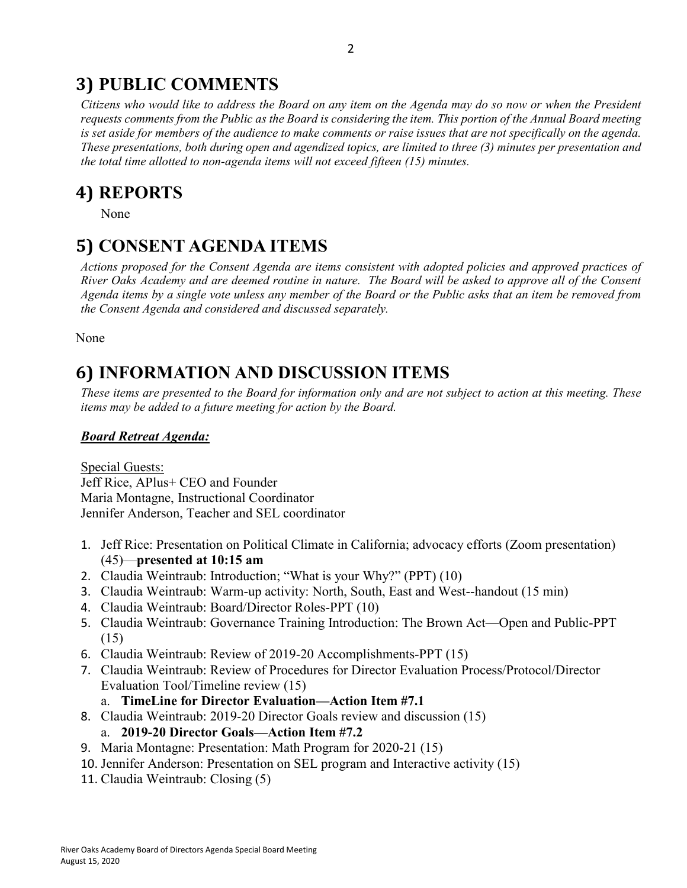## **3) PUBLIC COMMENTS**

*Citizens who would like to address the Board on any item on the Agenda may do so now or when the President requests comments from the Public as the Board is considering the item. This portion of the Annual Board meeting is set aside for members of the audience to make comments or raise issues that are not specifically on the agenda. These presentations, both during open and agendized topics, are limited to three (3) minutes per presentation and the total time allotted to non-agenda items will not exceed fifteen (15) minutes.*

## **4) REPORTS**

None

# **5) CONSENT AGENDA ITEMS**

*Actions proposed for the Consent Agenda are items consistent with adopted policies and approved practices of River Oaks Academy and are deemed routine in nature. The Board will be asked to approve all of the Consent Agenda items by a single vote unless any member of the Board or the Public asks that an item be removed from the Consent Agenda and considered and discussed separately.*

None

# **6) INFORMATION AND DISCUSSION ITEMS**

*These items are presented to the Board for information only and are not subject to action at this meeting. These items may be added to a future meeting for action by the Board.*

#### *Board Retreat Agenda:*

Special Guests: Jeff Rice, APlus+ CEO and Founder Maria Montagne, Instructional Coordinator Jennifer Anderson, Teacher and SEL coordinator

- 1. Jeff Rice: Presentation on Political Climate in California; advocacy efforts (Zoom presentation) (45)—**presented at 10:15 am**
- 2. Claudia Weintraub: Introduction; "What is your Why?" (PPT) (10)
- 3. Claudia Weintraub: Warm-up activity: North, South, East and West--handout (15 min)
- 4. Claudia Weintraub: Board/Director Roles-PPT (10)
- 5. Claudia Weintraub: Governance Training Introduction: The Brown Act—Open and Public-PPT (15)
- 6. Claudia Weintraub: Review of 2019-20 Accomplishments-PPT (15)
- 7. Claudia Weintraub: Review of Procedures for Director Evaluation Process/Protocol/Director Evaluation Tool/Timeline review (15)

a. **TimeLine for Director Evaluation—Action Item #7.1**

- 8. Claudia Weintraub: 2019-20 Director Goals review and discussion (15)
	- a. **2019-20 Director Goals—Action Item #7.2**
- 9. Maria Montagne: Presentation: Math Program for 2020-21 (15)
- 10. Jennifer Anderson: Presentation on SEL program and Interactive activity (15)
- 11. Claudia Weintraub: Closing (5)